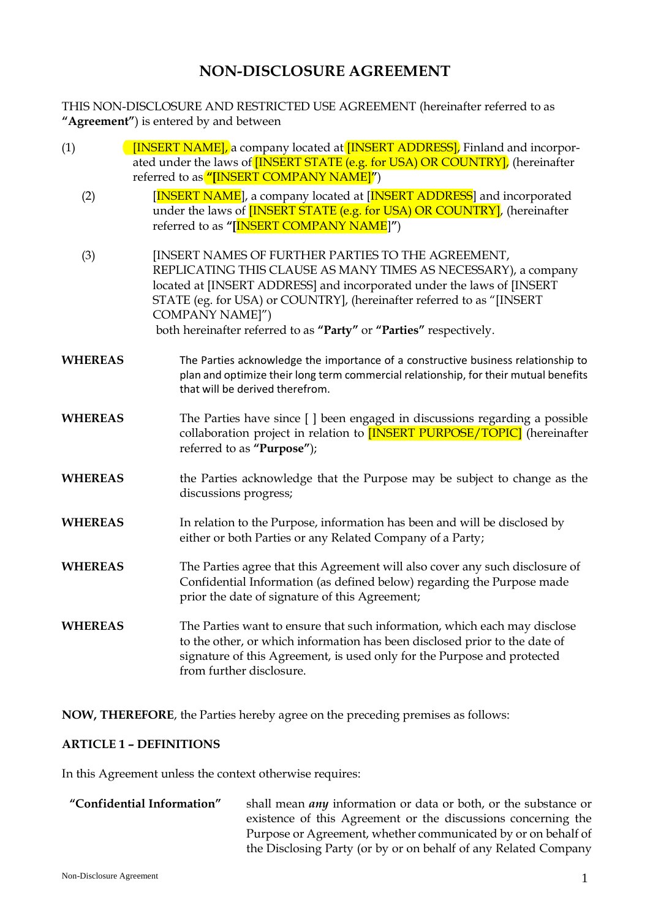# **NON-DISCLOSURE AGREEMENT**

THIS NON-DISCLOSURE AND RESTRICTED USE AGREEMENT (hereinafter referred to as **"Agreement"**) is entered by and between

- (1) **[INSERT NAME]**, a company located at **[INSERT ADDRESS]**, Finland and incorporated under the laws of **[INSERT STATE (e.g. for USA) OR COUNTRY]**, (hereinafter referred to as **"[**INSERT COMPANY NAME]**"**)
	- (2) **[INSERT NAME**], a company located at [INSERT ADDRESS] and incorporated under the laws of **[INSERT STATE (e.g. for USA) OR COUNTRY**], (hereinafter referred to as **"[**INSERT COMPANY NAME]**"**)
	- (3) [INSERT NAMES OF FURTHER PARTIES TO THE AGREEMENT, REPLICATING THIS CLAUSE AS MANY TIMES AS NECESSARY), a company located at [INSERT ADDRESS] and incorporated under the laws of [INSERT STATE (eg. for USA) or COUNTRY], (hereinafter referred to as "[INSERT COMPANY NAME]") both hereinafter referred to as **"Party"** or **"Parties"** respectively.
- **WHEREAS** The Parties acknowledge the importance of a constructive business relationship to plan and optimize their long term commercial relationship, for their mutual benefits that will be derived therefrom.
- **WHEREAS** The Parties have since [ ] been engaged in discussions regarding a possible collaboration project in relation to **[INSERT PURPOSE/TOPIC]** (hereinafter referred to as **"Purpose"**);
- **WHEREAS** the Parties acknowledge that the Purpose may be subject to change as the discussions progress;
- **WHEREAS** In relation to the Purpose, information has been and will be disclosed by either or both Parties or any Related Company of a Party;
- **WHEREAS** The Parties agree that this Agreement will also cover any such disclosure of Confidential Information (as defined below) regarding the Purpose made prior the date of signature of this Agreement;
- **WHEREAS** The Parties want to ensure that such information, which each may disclose to the other, or which information has been disclosed prior to the date of signature of this Agreement, is used only for the Purpose and protected from further disclosure.

**NOW, THEREFORE**, the Parties hereby agree on the preceding premises as follows:

# **ARTICLE 1 – DEFINITIONS**

In this Agreement unless the context otherwise requires:

**"Confidential Information"** shall mean *any* information or data or both, or the substance or existence of this Agreement or the discussions concerning the Purpose or Agreement, whether communicated by or on behalf of the Disclosing Party (or by or on behalf of any Related Company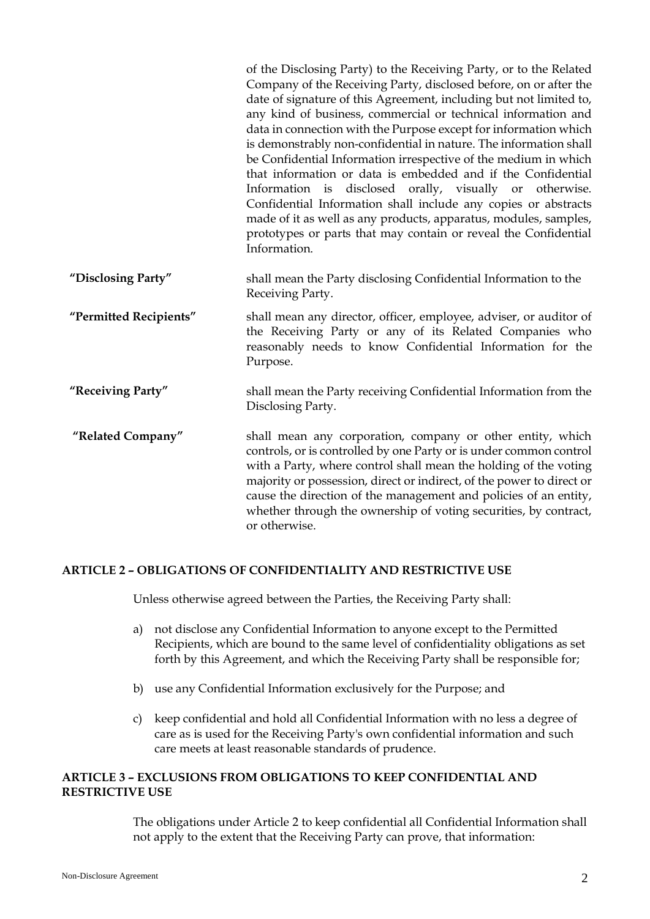|                        | of the Disclosing Party) to the Receiving Party, or to the Related<br>Company of the Receiving Party, disclosed before, on or after the<br>date of signature of this Agreement, including but not limited to,<br>any kind of business, commercial or technical information and<br>data in connection with the Purpose except for information which<br>is demonstrably non-confidential in nature. The information shall<br>be Confidential Information irrespective of the medium in which<br>that information or data is embedded and if the Confidential<br>Information is disclosed orally, visually or otherwise.<br>Confidential Information shall include any copies or abstracts<br>made of it as well as any products, apparatus, modules, samples,<br>prototypes or parts that may contain or reveal the Confidential<br>Information. |
|------------------------|------------------------------------------------------------------------------------------------------------------------------------------------------------------------------------------------------------------------------------------------------------------------------------------------------------------------------------------------------------------------------------------------------------------------------------------------------------------------------------------------------------------------------------------------------------------------------------------------------------------------------------------------------------------------------------------------------------------------------------------------------------------------------------------------------------------------------------------------|
| "Disclosing Party"     | shall mean the Party disclosing Confidential Information to the<br>Receiving Party.                                                                                                                                                                                                                                                                                                                                                                                                                                                                                                                                                                                                                                                                                                                                                            |
| "Permitted Recipients" | shall mean any director, officer, employee, adviser, or auditor of<br>the Receiving Party or any of its Related Companies who<br>reasonably needs to know Confidential Information for the<br>Purpose.                                                                                                                                                                                                                                                                                                                                                                                                                                                                                                                                                                                                                                         |
| "Receiving Party"      | shall mean the Party receiving Confidential Information from the<br>Disclosing Party.                                                                                                                                                                                                                                                                                                                                                                                                                                                                                                                                                                                                                                                                                                                                                          |
| "Related Company"      | shall mean any corporation, company or other entity, which<br>controls, or is controlled by one Party or is under common control<br>with a Party, where control shall mean the holding of the voting<br>majority or possession, direct or indirect, of the power to direct or<br>cause the direction of the management and policies of an entity,<br>whether through the ownership of voting securities, by contract,<br>or otherwise.                                                                                                                                                                                                                                                                                                                                                                                                         |

# **ARTICLE 2 – OBLIGATIONS OF CONFIDENTIALITY AND RESTRICTIVE USE**

Unless otherwise agreed between the Parties, the Receiving Party shall:

- a) not disclose any Confidential Information to anyone except to the Permitted Recipients, which are bound to the same level of confidentiality obligations as set forth by this Agreement, and which the Receiving Party shall be responsible for;
- b) use any Confidential Information exclusively for the Purpose; and
- c) keep confidential and hold all Confidential Information with no less a degree of care as is used for the Receiving Party's own confidential information and such care meets at least reasonable standards of prudence.

# **ARTICLE 3 – EXCLUSIONS FROM OBLIGATIONS TO KEEP CONFIDENTIAL AND RESTRICTIVE USE**

The obligations under Article 2 to keep confidential all Confidential Information shall not apply to the extent that the Receiving Party can prove, that information: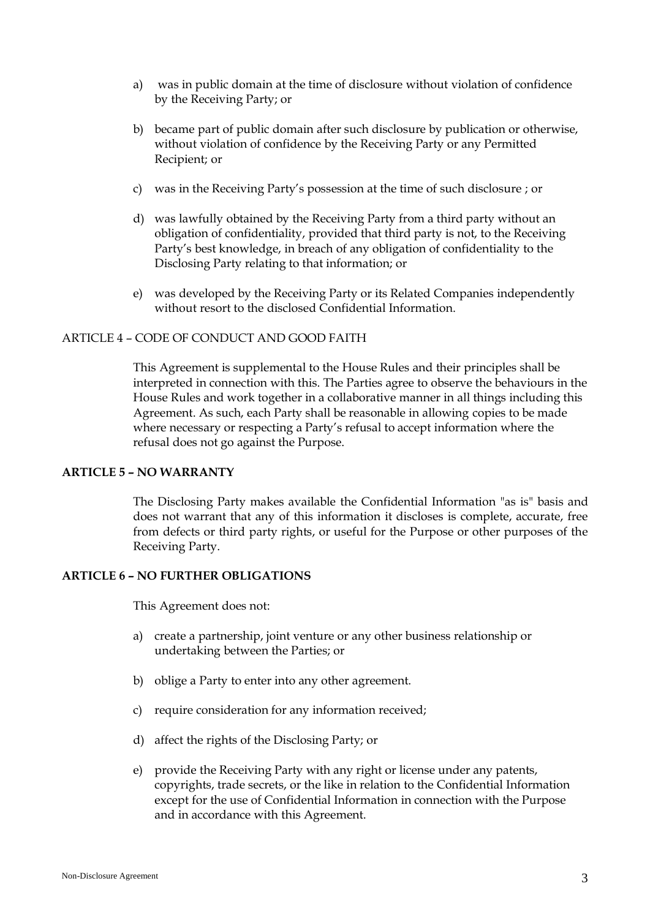- a) was in public domain at the time of disclosure without violation of confidence by the Receiving Party; or
- b) became part of public domain after such disclosure by publication or otherwise, without violation of confidence by the Receiving Party or any Permitted Recipient; or
- c) was in the Receiving Party's possession at the time of such disclosure ; or
- d) was lawfully obtained by the Receiving Party from a third party without an obligation of confidentiality, provided that third party is not, to the Receiving Party's best knowledge, in breach of any obligation of confidentiality to the Disclosing Party relating to that information; or
- e) was developed by the Receiving Party or its Related Companies independently without resort to the disclosed Confidential Information.

# ARTICLE 4 – CODE OF CONDUCT AND GOOD FAITH

This Agreement is supplemental to the House Rules and their principles shall be interpreted in connection with this. The Parties agree to observe the behaviours in the House Rules and work together in a collaborative manner in all things including this Agreement. As such, each Party shall be reasonable in allowing copies to be made where necessary or respecting a Party's refusal to accept information where the refusal does not go against the Purpose.

#### **ARTICLE 5 – NO WARRANTY**

The Disclosing Party makes available the Confidential Information "as is" basis and does not warrant that any of this information it discloses is complete, accurate, free from defects or third party rights, or useful for the Purpose or other purposes of the Receiving Party.

#### **ARTICLE 6 – NO FURTHER OBLIGATIONS**

This Agreement does not:

- a) create a partnership, joint venture or any other business relationship or undertaking between the Parties; or
- b) oblige a Party to enter into any other agreement.
- c) require consideration for any information received;
- d) affect the rights of the Disclosing Party; or
- e) provide the Receiving Party with any right or license under any patents, copyrights, trade secrets, or the like in relation to the Confidential Information except for the use of Confidential Information in connection with the Purpose and in accordance with this Agreement.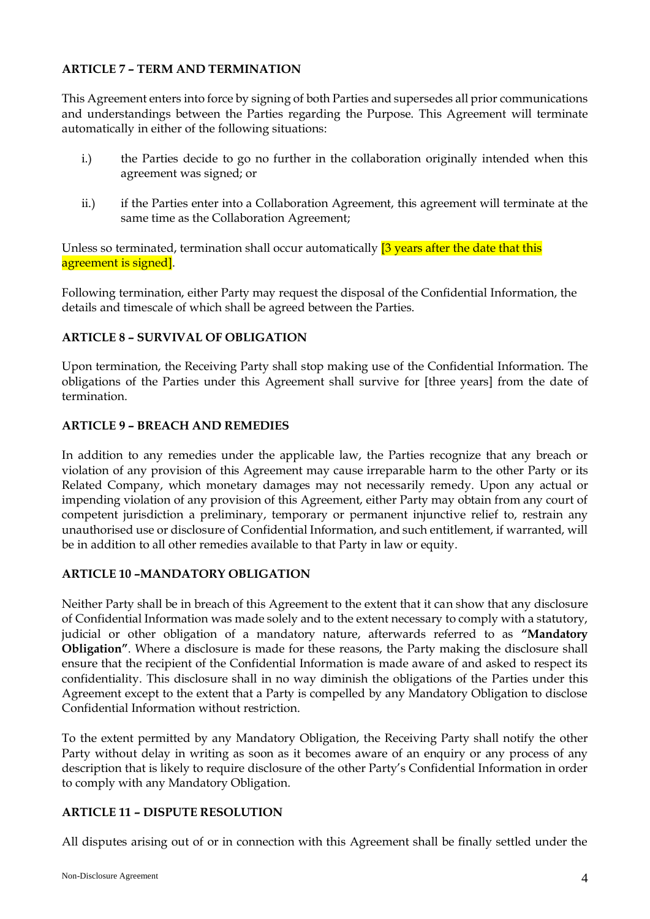# **ARTICLE 7 – TERM AND TERMINATION**

This Agreement enters into force by signing of both Parties and supersedes all prior communications and understandings between the Parties regarding the Purpose. This Agreement will terminate automatically in either of the following situations:

- i.) the Parties decide to go no further in the collaboration originally intended when this agreement was signed; or
- ii.) if the Parties enter into a Collaboration Agreement, this agreement will terminate at the same time as the Collaboration Agreement;

Unless so terminated, termination shall occur automatically <sup>[3</sup> years after the date that this agreement is signed].

Following termination, either Party may request the disposal of the Confidential Information, the details and timescale of which shall be agreed between the Parties.

# **ARTICLE 8 – SURVIVAL OF OBLIGATION**

Upon termination, the Receiving Party shall stop making use of the Confidential Information. The obligations of the Parties under this Agreement shall survive for [three years] from the date of termination.

# **ARTICLE 9 – BREACH AND REMEDIES**

In addition to any remedies under the applicable law, the Parties recognize that any breach or violation of any provision of this Agreement may cause irreparable harm to the other Party or its Related Company, which monetary damages may not necessarily remedy. Upon any actual or impending violation of any provision of this Agreement, either Party may obtain from any court of competent jurisdiction a preliminary, temporary or permanent injunctive relief to, restrain any unauthorised use or disclosure of Confidential Information, and such entitlement, if warranted, will be in addition to all other remedies available to that Party in law or equity.

# **ARTICLE 10 –MANDATORY OBLIGATION**

Neither Party shall be in breach of this Agreement to the extent that it can show that any disclosure of Confidential Information was made solely and to the extent necessary to comply with a statutory, judicial or other obligation of a mandatory nature, afterwards referred to as **"Mandatory Obligation"**. Where a disclosure is made for these reasons, the Party making the disclosure shall ensure that the recipient of the Confidential Information is made aware of and asked to respect its confidentiality. This disclosure shall in no way diminish the obligations of the Parties under this Agreement except to the extent that a Party is compelled by any Mandatory Obligation to disclose Confidential Information without restriction.

To the extent permitted by any Mandatory Obligation, the Receiving Party shall notify the other Party without delay in writing as soon as it becomes aware of an enquiry or any process of any description that is likely to require disclosure of the other Party's Confidential Information in order to comply with any Mandatory Obligation.

# **ARTICLE 11 – DISPUTE RESOLUTION**

All disputes arising out of or in connection with this Agreement shall be finally settled under the